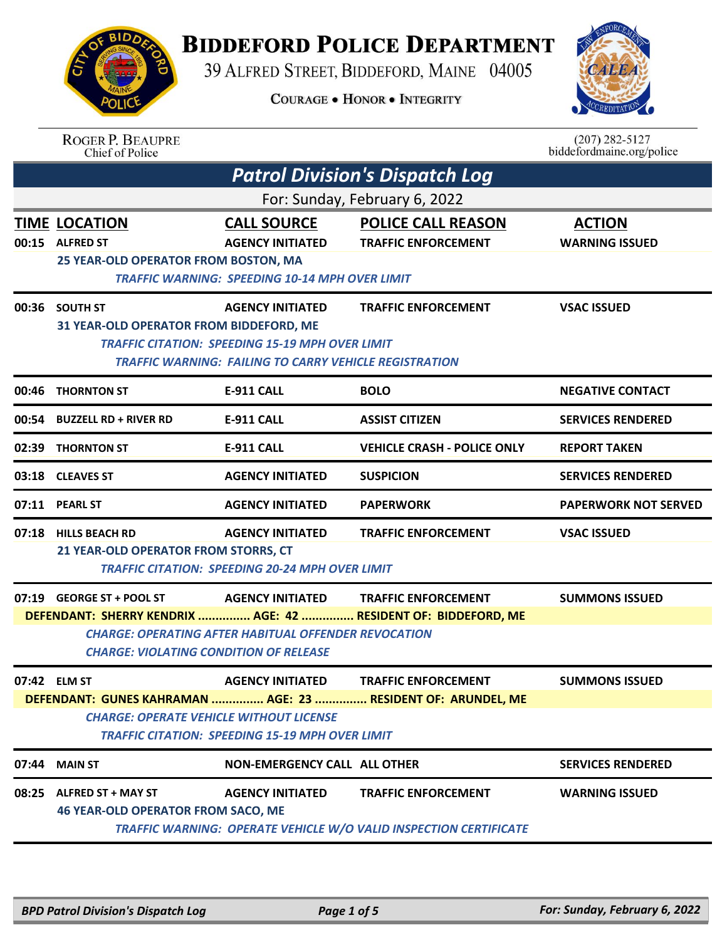## **BIDDEFORD POLICE DEPARTMENT**

39 ALFRED STREET, BIDDEFORD, MAINE 04005

**COURAGE . HONOR . INTEGRITY** 



| <b>BIDDA</b> |  |
|--------------|--|
| AC           |  |
|              |  |
| A            |  |
|              |  |
| POLICE       |  |

ROGER P. BEAUPRE<br>Chief of Police

 $(207)$  282-5127 biddefordmaine.org/police

|       | <b>Patrol Division's Dispatch Log</b>                                            |                                                                                                                                             |                                                                                                        |                                        |
|-------|----------------------------------------------------------------------------------|---------------------------------------------------------------------------------------------------------------------------------------------|--------------------------------------------------------------------------------------------------------|----------------------------------------|
|       | For: Sunday, February 6, 2022                                                    |                                                                                                                                             |                                                                                                        |                                        |
| 00:15 | <b>TIME LOCATION</b><br><b>ALFRED ST</b><br>25 YEAR-OLD OPERATOR FROM BOSTON, MA | <b>CALL SOURCE</b><br><b>AGENCY INITIATED</b><br><b>TRAFFIC WARNING: SPEEDING 10-14 MPH OVER LIMIT</b>                                      | <b>POLICE CALL REASON</b><br><b>TRAFFIC ENFORCEMENT</b>                                                | <b>ACTION</b><br><b>WARNING ISSUED</b> |
|       | 00:36 SOUTH ST<br>31 YEAR-OLD OPERATOR FROM BIDDEFORD, ME                        | <b>AGENCY INITIATED</b><br><b>TRAFFIC CITATION: SPEEDING 15-19 MPH OVER LIMIT</b><br>TRAFFIC WARNING: FAILING TO CARRY VEHICLE REGISTRATION | <b>TRAFFIC ENFORCEMENT</b>                                                                             | <b>VSAC ISSUED</b>                     |
| 00:46 | <b>THORNTON ST</b>                                                               | <b>E-911 CALL</b>                                                                                                                           | <b>BOLO</b>                                                                                            | <b>NEGATIVE CONTACT</b>                |
| 00:54 | <b>BUZZELL RD + RIVER RD</b>                                                     | <b>E-911 CALL</b>                                                                                                                           | <b>ASSIST CITIZEN</b>                                                                                  | <b>SERVICES RENDERED</b>               |
| 02:39 | <b>THORNTON ST</b>                                                               | <b>E-911 CALL</b>                                                                                                                           | <b>VEHICLE CRASH - POLICE ONLY</b>                                                                     | <b>REPORT TAKEN</b>                    |
| 03:18 | <b>CLEAVES ST</b>                                                                | <b>AGENCY INITIATED</b>                                                                                                                     | <b>SUSPICION</b>                                                                                       | <b>SERVICES RENDERED</b>               |
| 07:11 | <b>PEARL ST</b>                                                                  | <b>AGENCY INITIATED</b>                                                                                                                     | <b>PAPERWORK</b>                                                                                       | <b>PAPERWORK NOT SERVED</b>            |
|       | 07:18 HILLS BEACH RD<br>21 YEAR-OLD OPERATOR FROM STORRS, CT                     | <b>AGENCY INITIATED</b><br><b>TRAFFIC CITATION: SPEEDING 20-24 MPH OVER LIMIT</b>                                                           | <b>TRAFFIC ENFORCEMENT</b>                                                                             | <b>VSAC ISSUED</b>                     |
|       | 07:19 GEORGE ST + POOL ST<br><b>CHARGE: VIOLATING CONDITION OF RELEASE</b>       | <b>AGENCY INITIATED</b><br><b>CHARGE: OPERATING AFTER HABITUAL OFFENDER REVOCATION</b>                                                      | <b>TRAFFIC ENFORCEMENT</b><br>DEFENDANT: SHERRY KENDRIX  AGE: 42  RESIDENT OF: BIDDEFORD, ME           | <b>SUMMONS ISSUED</b>                  |
|       | 07:42 ELM ST<br><b>CHARGE: OPERATE VEHICLE WITHOUT LICENSE</b>                   | <b>AGENCY INITIATED</b><br><b>TRAFFIC CITATION: SPEEDING 15-19 MPH OVER LIMIT</b>                                                           | <b>TRAFFIC ENFORCEMENT</b><br>DEFENDANT: GUNES KAHRAMAN  AGE: 23  RESIDENT OF: ARUNDEL, ME             | <b>SUMMONS ISSUED</b>                  |
|       | 07:44 MAIN ST                                                                    | <b>NON-EMERGENCY CALL ALL OTHER</b>                                                                                                         |                                                                                                        | <b>SERVICES RENDERED</b>               |
|       | 08:25 ALFRED ST + MAY ST<br><b>46 YEAR-OLD OPERATOR FROM SACO, ME</b>            | <b>AGENCY INITIATED</b>                                                                                                                     | <b>TRAFFIC ENFORCEMENT</b><br><b>TRAFFIC WARNING: OPERATE VEHICLE W/O VALID INSPECTION CERTIFICATE</b> | <b>WARNING ISSUED</b>                  |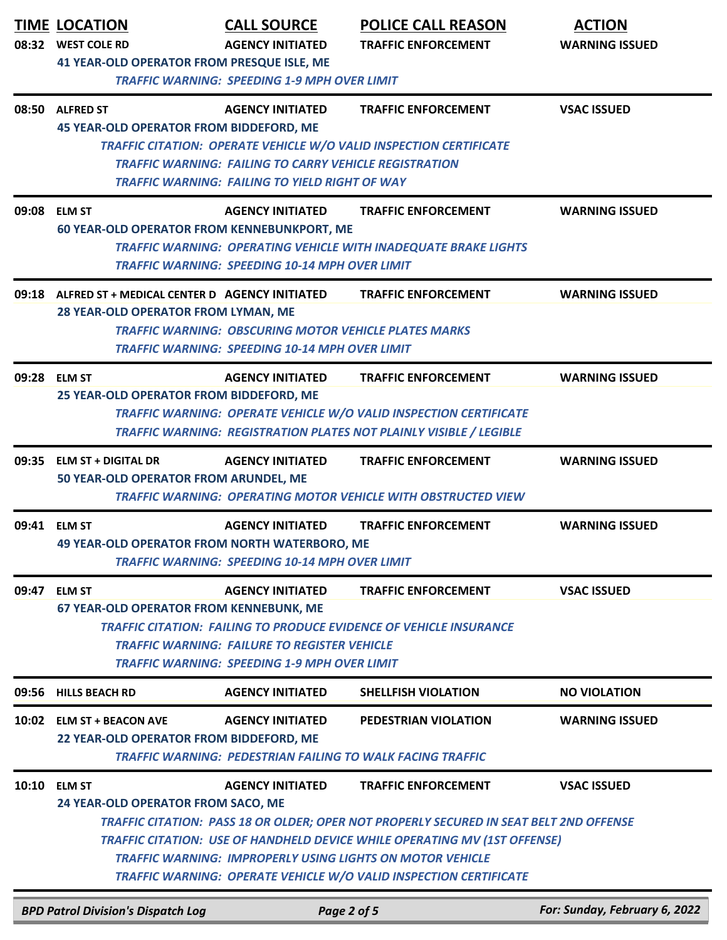|       | <b>TIME LOCATION</b><br>08:32 WEST COLE RD                                                                                                                                                                                                                                                                                         | <b>CALL SOURCE</b><br><b>AGENCY INITIATED</b>                                                                                                     | <b>POLICE CALL REASON</b><br><b>TRAFFIC ENFORCEMENT</b>                                                                                                                                                                                                                                                                                           | <b>ACTION</b><br><b>WARNING ISSUED</b> |  |
|-------|------------------------------------------------------------------------------------------------------------------------------------------------------------------------------------------------------------------------------------------------------------------------------------------------------------------------------------|---------------------------------------------------------------------------------------------------------------------------------------------------|---------------------------------------------------------------------------------------------------------------------------------------------------------------------------------------------------------------------------------------------------------------------------------------------------------------------------------------------------|----------------------------------------|--|
|       | 41 YEAR-OLD OPERATOR FROM PRESQUE ISLE, ME<br><b>TRAFFIC WARNING: SPEEDING 1-9 MPH OVER LIMIT</b>                                                                                                                                                                                                                                  |                                                                                                                                                   |                                                                                                                                                                                                                                                                                                                                                   |                                        |  |
|       | 08:50 ALFRED ST<br><b>45 YEAR-OLD OPERATOR FROM BIDDEFORD, ME</b>                                                                                                                                                                                                                                                                  | <b>AGENCY INITIATED</b><br><b>TRAFFIC WARNING: FAILING TO CARRY VEHICLE REGISTRATION</b><br><b>TRAFFIC WARNING: FAILING TO YIELD RIGHT OF WAY</b> | <b>TRAFFIC ENFORCEMENT</b><br>TRAFFIC CITATION: OPERATE VEHICLE W/O VALID INSPECTION CERTIFICATE                                                                                                                                                                                                                                                  | <b>VSAC ISSUED</b>                     |  |
|       | 09:08 ELM ST<br><b>60 YEAR-OLD OPERATOR FROM KENNEBUNKPORT, ME</b>                                                                                                                                                                                                                                                                 | <b>AGENCY INITIATED</b><br><b>TRAFFIC WARNING: SPEEDING 10-14 MPH OVER LIMIT</b>                                                                  | <b>TRAFFIC ENFORCEMENT</b><br><b>TRAFFIC WARNING: OPERATING VEHICLE WITH INADEQUATE BRAKE LIGHTS</b>                                                                                                                                                                                                                                              | <b>WARNING ISSUED</b>                  |  |
|       | 09:18 ALFRED ST + MEDICAL CENTER D AGENCY INITIATED<br>28 YEAR-OLD OPERATOR FROM LYMAN, ME                                                                                                                                                                                                                                         | <b>TRAFFIC WARNING: OBSCURING MOTOR VEHICLE PLATES MARKS</b><br><b>TRAFFIC WARNING: SPEEDING 10-14 MPH OVER LIMIT</b>                             | <b>TRAFFIC ENFORCEMENT</b>                                                                                                                                                                                                                                                                                                                        | <b>WARNING ISSUED</b>                  |  |
|       | 09:28 ELM ST<br>25 YEAR-OLD OPERATOR FROM BIDDEFORD, ME                                                                                                                                                                                                                                                                            | <b>AGENCY INITIATED</b>                                                                                                                           | <b>TRAFFIC ENFORCEMENT</b><br><b>TRAFFIC WARNING: OPERATE VEHICLE W/O VALID INSPECTION CERTIFICATE</b><br><b>TRAFFIC WARNING: REGISTRATION PLATES NOT PLAINLY VISIBLE / LEGIBLE</b>                                                                                                                                                               | <b>WARNING ISSUED</b>                  |  |
| 09:35 | <b>ELM ST + DIGITAL DR</b><br>50 YEAR-OLD OPERATOR FROM ARUNDEL, ME                                                                                                                                                                                                                                                                | <b>AGENCY INITIATED</b>                                                                                                                           | <b>TRAFFIC ENFORCEMENT</b><br><b>TRAFFIC WARNING: OPERATING MOTOR VEHICLE WITH OBSTRUCTED VIEW</b>                                                                                                                                                                                                                                                | <b>WARNING ISSUED</b>                  |  |
|       | 09:41 ELM ST<br><b>49 YEAR-OLD OPERATOR FROM NORTH WATERBORO, ME</b>                                                                                                                                                                                                                                                               | <b>AGENCY INITIATED</b><br><b>TRAFFIC WARNING: SPEEDING 10-14 MPH OVER LIMIT</b>                                                                  | <b>TRAFFIC ENFORCEMENT</b>                                                                                                                                                                                                                                                                                                                        | <b>WARNING ISSUED</b>                  |  |
| 09:47 | <b>TRAFFIC ENFORCEMENT</b><br>ELM ST<br><b>AGENCY INITIATED</b><br><b>VSAC ISSUED</b><br><b>67 YEAR-OLD OPERATOR FROM KENNEBUNK, ME</b><br><b>TRAFFIC CITATION: FAILING TO PRODUCE EVIDENCE OF VEHICLE INSURANCE</b><br><b>TRAFFIC WARNING: FAILURE TO REGISTER VEHICLE</b><br><b>TRAFFIC WARNING: SPEEDING 1-9 MPH OVER LIMIT</b> |                                                                                                                                                   |                                                                                                                                                                                                                                                                                                                                                   |                                        |  |
| 09:56 | <b>HILLS BEACH RD</b>                                                                                                                                                                                                                                                                                                              | <b>AGENCY INITIATED</b>                                                                                                                           | <b>SHELLFISH VIOLATION</b>                                                                                                                                                                                                                                                                                                                        | <b>NO VIOLATION</b>                    |  |
|       | 10:02 ELM ST + BEACON AVE<br>22 YEAR-OLD OPERATOR FROM BIDDEFORD, ME                                                                                                                                                                                                                                                               | <b>AGENCY INITIATED</b>                                                                                                                           | PEDESTRIAN VIOLATION<br><b>TRAFFIC WARNING: PEDESTRIAN FAILING TO WALK FACING TRAFFIC</b>                                                                                                                                                                                                                                                         | <b>WARNING ISSUED</b>                  |  |
|       | 10:10 ELM ST<br>24 YEAR-OLD OPERATOR FROM SACO, ME                                                                                                                                                                                                                                                                                 | <b>AGENCY INITIATED</b>                                                                                                                           | <b>TRAFFIC ENFORCEMENT</b><br>TRAFFIC CITATION: PASS 18 OR OLDER; OPER NOT PROPERLY SECURED IN SEAT BELT 2ND OFFENSE<br><b>TRAFFIC CITATION: USE OF HANDHELD DEVICE WHILE OPERATING MV (1ST OFFENSE)</b><br><b>TRAFFIC WARNING: IMPROPERLY USING LIGHTS ON MOTOR VEHICLE</b><br>TRAFFIC WARNING: OPERATE VEHICLE W/O VALID INSPECTION CERTIFICATE | <b>VSAC ISSUED</b>                     |  |
|       | <b>BPD Patrol Division's Dispatch Log</b>                                                                                                                                                                                                                                                                                          | Page 2 of 5                                                                                                                                       |                                                                                                                                                                                                                                                                                                                                                   | For: Sunday, February 6, 2022          |  |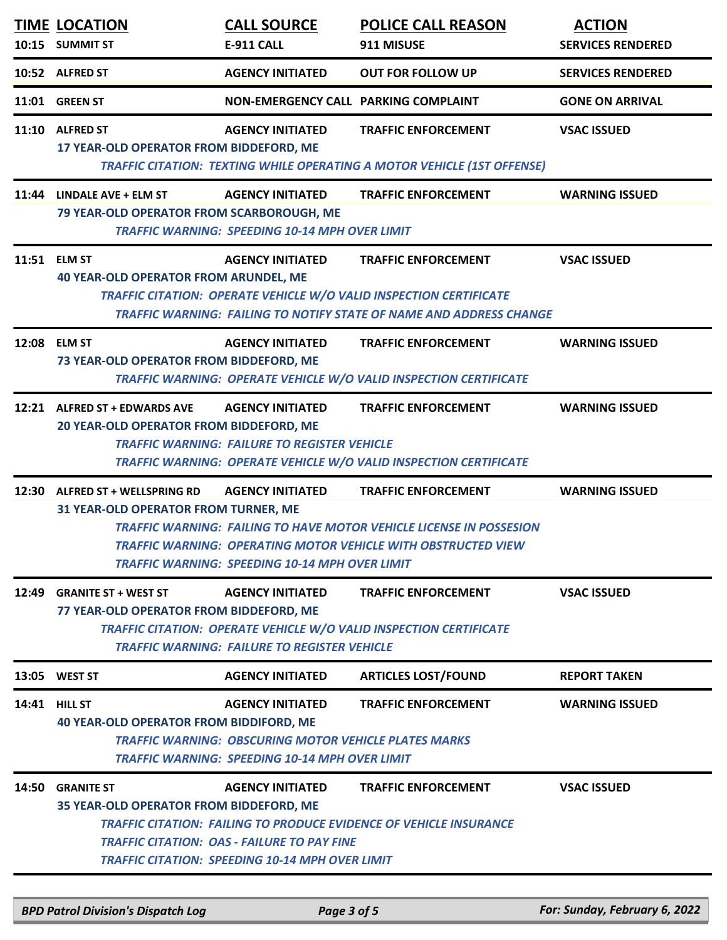|       | <b>TIME LOCATION</b><br>10:15 SUMMIT ST                                                                                                                                                                                                                                                                                                                           | <b>CALL SOURCE</b><br>E-911 CALL                                                                                                                 | <b>POLICE CALL REASON</b><br>911 MISUSE                                                                                                                                        | <b>ACTION</b><br><b>SERVICES RENDERED</b> |
|-------|-------------------------------------------------------------------------------------------------------------------------------------------------------------------------------------------------------------------------------------------------------------------------------------------------------------------------------------------------------------------|--------------------------------------------------------------------------------------------------------------------------------------------------|--------------------------------------------------------------------------------------------------------------------------------------------------------------------------------|-------------------------------------------|
|       | 10:52 ALFRED ST                                                                                                                                                                                                                                                                                                                                                   | <b>AGENCY INITIATED</b>                                                                                                                          | <b>OUT FOR FOLLOW UP</b>                                                                                                                                                       | <b>SERVICES RENDERED</b>                  |
|       | 11:01 GREEN ST                                                                                                                                                                                                                                                                                                                                                    | NON-EMERGENCY CALL PARKING COMPLAINT                                                                                                             |                                                                                                                                                                                | <b>GONE ON ARRIVAL</b>                    |
|       | 11:10 ALFRED ST<br>17 YEAR-OLD OPERATOR FROM BIDDEFORD, ME                                                                                                                                                                                                                                                                                                        | <b>AGENCY INITIATED</b>                                                                                                                          | <b>TRAFFIC ENFORCEMENT</b><br><b>TRAFFIC CITATION: TEXTING WHILE OPERATING A MOTOR VEHICLE (1ST OFFENSE)</b>                                                                   | <b>VSAC ISSUED</b>                        |
|       | 11:44 LINDALE AVE + ELM ST<br>79 YEAR-OLD OPERATOR FROM SCARBOROUGH, ME                                                                                                                                                                                                                                                                                           | <b>AGENCY INITIATED</b><br><b>TRAFFIC WARNING: SPEEDING 10-14 MPH OVER LIMIT</b>                                                                 | <b>TRAFFIC ENFORCEMENT</b>                                                                                                                                                     | <b>WARNING ISSUED</b>                     |
|       | 11:51 ELM ST<br><b>40 YEAR-OLD OPERATOR FROM ARUNDEL, ME</b>                                                                                                                                                                                                                                                                                                      | <b>AGENCY INITIATED</b>                                                                                                                          | <b>TRAFFIC ENFORCEMENT</b><br><b>TRAFFIC CITATION: OPERATE VEHICLE W/O VALID INSPECTION CERTIFICATE</b><br>TRAFFIC WARNING: FAILING TO NOTIFY STATE OF NAME AND ADDRESS CHANGE | <b>VSAC ISSUED</b>                        |
|       | 12:08 ELM ST<br>73 YEAR-OLD OPERATOR FROM BIDDEFORD, ME                                                                                                                                                                                                                                                                                                           | <b>AGENCY INITIATED</b>                                                                                                                          | <b>TRAFFIC ENFORCEMENT</b><br>TRAFFIC WARNING: OPERATE VEHICLE W/O VALID INSPECTION CERTIFICATE                                                                                | <b>WARNING ISSUED</b>                     |
|       | 12:21 ALFRED ST + EDWARDS AVE<br>20 YEAR-OLD OPERATOR FROM BIDDEFORD, ME                                                                                                                                                                                                                                                                                          | <b>AGENCY INITIATED</b><br><b>TRAFFIC WARNING: FAILURE TO REGISTER VEHICLE</b>                                                                   | <b>TRAFFIC ENFORCEMENT</b><br>TRAFFIC WARNING: OPERATE VEHICLE W/O VALID INSPECTION CERTIFICATE                                                                                | <b>WARNING ISSUED</b>                     |
|       | 12:30 ALFRED ST + WELLSPRING RD<br><b>AGENCY INITIATED</b><br><b>TRAFFIC ENFORCEMENT</b><br><b>WARNING ISSUED</b><br><b>31 YEAR-OLD OPERATOR FROM TURNER, ME</b><br><b>TRAFFIC WARNING: FAILING TO HAVE MOTOR VEHICLE LICENSE IN POSSESION</b><br>TRAFFIC WARNING: OPFRATING MOTOR VFHICLF WITH OBSTRUCTFD VIFW<br>TRAFFIC WARNING: SPEEDING 10-14 MPH OVER LIMIT |                                                                                                                                                  |                                                                                                                                                                                |                                           |
| 12:49 | <b>GRANITE ST + WEST ST</b><br>77 YEAR-OLD OPERATOR FROM BIDDEFORD, ME                                                                                                                                                                                                                                                                                            | <b>AGENCY INITIATED</b><br><b>TRAFFIC WARNING: FAILURE TO REGISTER VEHICLE</b>                                                                   | <b>TRAFFIC ENFORCEMENT</b><br><b>TRAFFIC CITATION: OPERATE VEHICLE W/O VALID INSPECTION CERTIFICATE</b>                                                                        | <b>VSAC ISSUED</b>                        |
|       | 13:05 WEST ST                                                                                                                                                                                                                                                                                                                                                     | <b>AGENCY INITIATED</b>                                                                                                                          | <b>ARTICLES LOST/FOUND</b>                                                                                                                                                     | <b>REPORT TAKEN</b>                       |
|       | <b>14:41 HILL ST</b><br><b>40 YEAR-OLD OPERATOR FROM BIDDIFORD, ME</b>                                                                                                                                                                                                                                                                                            | <b>AGENCY INITIATED</b><br><b>TRAFFIC WARNING: OBSCURING MOTOR VEHICLE PLATES MARKS</b><br><b>TRAFFIC WARNING: SPEEDING 10-14 MPH OVER LIMIT</b> | <b>TRAFFIC ENFORCEMENT</b>                                                                                                                                                     | <b>WARNING ISSUED</b>                     |
|       | 14:50 GRANITE ST<br>35 YEAR-OLD OPERATOR FROM BIDDEFORD, ME                                                                                                                                                                                                                                                                                                       | <b>AGENCY INITIATED</b><br><b>TRAFFIC CITATION: OAS - FAILURE TO PAY FINE</b><br><b>TRAFFIC CITATION: SPEEDING 10-14 MPH OVER LIMIT</b>          | <b>TRAFFIC ENFORCEMENT</b><br><b>TRAFFIC CITATION: FAILING TO PRODUCE EVIDENCE OF VEHICLE INSURANCE</b>                                                                        | <b>VSAC ISSUED</b>                        |

*BPD Patrol Division's Dispatch Log Page 3 of 5 For: Sunday, February 6, 2022*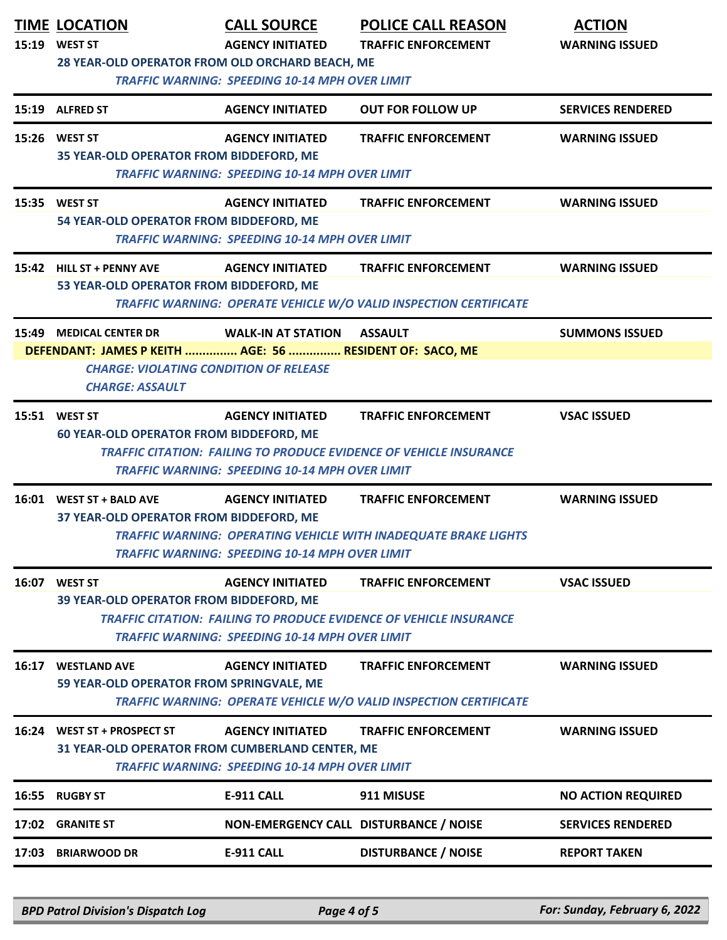|       | <b>TIME LOCATION</b><br>15:19 WEST ST<br>28 YEAR-OLD OPERATOR FROM OLD ORCHARD BEACH, ME                                                                       | <b>CALL SOURCE</b><br><b>AGENCY INITIATED</b><br><b>TRAFFIC WARNING: SPEEDING 10-14 MPH OVER LIMIT</b> | <b>POLICE CALL REASON</b><br><b>TRAFFIC ENFORCEMENT</b>                                                 | <b>ACTION</b><br><b>WARNING ISSUED</b> |
|-------|----------------------------------------------------------------------------------------------------------------------------------------------------------------|--------------------------------------------------------------------------------------------------------|---------------------------------------------------------------------------------------------------------|----------------------------------------|
|       | 15:19 ALFRED ST                                                                                                                                                | <b>AGENCY INITIATED</b>                                                                                | <b>OUT FOR FOLLOW UP</b>                                                                                | <b>SERVICES RENDERED</b>               |
|       | 15:26 WEST ST<br>35 YEAR-OLD OPERATOR FROM BIDDEFORD, ME                                                                                                       | <b>AGENCY INITIATED</b><br><b>TRAFFIC WARNING: SPEEDING 10-14 MPH OVER LIMIT</b>                       | <b>TRAFFIC ENFORCEMENT</b>                                                                              | <b>WARNING ISSUED</b>                  |
|       | 15:35 WEST ST<br>54 YEAR-OLD OPERATOR FROM BIDDEFORD, ME                                                                                                       | <b>AGENCY INITIATED</b><br><b>TRAFFIC WARNING: SPEEDING 10-14 MPH OVER LIMIT</b>                       | <b>TRAFFIC ENFORCEMENT</b>                                                                              | <b>WARNING ISSUED</b>                  |
|       | 15:42 HILL ST + PENNY AVE<br>53 YEAR-OLD OPERATOR FROM BIDDEFORD, ME                                                                                           | <b>AGENCY INITIATED</b>                                                                                | <b>TRAFFIC ENFORCEMENT</b><br>TRAFFIC WARNING: OPERATE VEHICLE W/O VALID INSPECTION CERTIFICATE         | <b>WARNING ISSUED</b>                  |
|       | 15:49 MEDICAL CENTER DR<br>DEFENDANT: JAMES P KEITH  AGE: 56  RESIDENT OF: SACO, ME<br><b>CHARGE: VIOLATING CONDITION OF RELEASE</b><br><b>CHARGE: ASSAULT</b> | <b>WALK-IN AT STATION</b>                                                                              | <b>ASSAULT</b>                                                                                          | <b>SUMMONS ISSUED</b>                  |
|       | 15:51 WEST ST<br><b>60 YEAR-OLD OPERATOR FROM BIDDEFORD, ME</b>                                                                                                | <b>AGENCY INITIATED</b><br><b>TRAFFIC WARNING: SPEEDING 10-14 MPH OVER LIMIT</b>                       | <b>TRAFFIC ENFORCEMENT</b><br><b>TRAFFIC CITATION: FAILING TO PRODUCE EVIDENCE OF VEHICLE INSURANCE</b> | <b>VSAC ISSUED</b>                     |
|       | 16:01 WEST ST + BALD AVE<br>37 YEAR-OLD OPERATOR FROM BIDDEFORD, ME                                                                                            | <b>AGENCY INITIATED</b><br><b>TRAFFIC WARNING: SPEEDING 10-14 MPH OVER LIMIT</b>                       | <b>TRAFFIC ENFORCEMENT</b><br>TRAFFIC WARNING: OPERATING VEHICLE WITH INADEQUATE BRAKE LIGHTS           | <b>WARNING ISSUED</b>                  |
| 16:07 | <b>WEST ST</b><br>39 YEAR-OLD OPERATOR FROM BIDDEFORD, ME                                                                                                      | <b>AGENCY INITIATED</b><br><b>TRAFFIC WARNING: SPEEDING 10-14 MPH OVER LIMIT</b>                       | <b>TRAFFIC ENFORCEMENT</b><br><b>TRAFFIC CITATION: FAILING TO PRODUCE EVIDENCE OF VEHICLE INSURANCE</b> | <b>VSAC ISSUED</b>                     |
| 16:17 | <b>WESTLAND AVE</b><br>59 YEAR-OLD OPERATOR FROM SPRINGVALE, ME                                                                                                | <b>AGENCY INITIATED</b>                                                                                | <b>TRAFFIC ENFORCEMENT</b><br><b>TRAFFIC WARNING: OPERATE VEHICLE W/O VALID INSPECTION CERTIFICATE</b>  | <b>WARNING ISSUED</b>                  |
|       | 16:24 WEST ST + PROSPECT ST<br>31 YEAR-OLD OPERATOR FROM CUMBERLAND CENTER, ME                                                                                 | <b>AGENCY INITIATED</b><br><b>TRAFFIC WARNING: SPEEDING 10-14 MPH OVER LIMIT</b>                       | <b>TRAFFIC ENFORCEMENT</b>                                                                              | <b>WARNING ISSUED</b>                  |
| 16:55 | <b>RUGBY ST</b>                                                                                                                                                | <b>E-911 CALL</b>                                                                                      | 911 MISUSE                                                                                              | <b>NO ACTION REQUIRED</b>              |
|       | 17:02 GRANITE ST                                                                                                                                               |                                                                                                        | NON-EMERGENCY CALL DISTURBANCE / NOISE                                                                  | <b>SERVICES RENDERED</b>               |
|       | 17:03 BRIARWOOD DR                                                                                                                                             | <b>E-911 CALL</b>                                                                                      | <b>DISTURBANCE / NOISE</b>                                                                              | <b>REPORT TAKEN</b>                    |